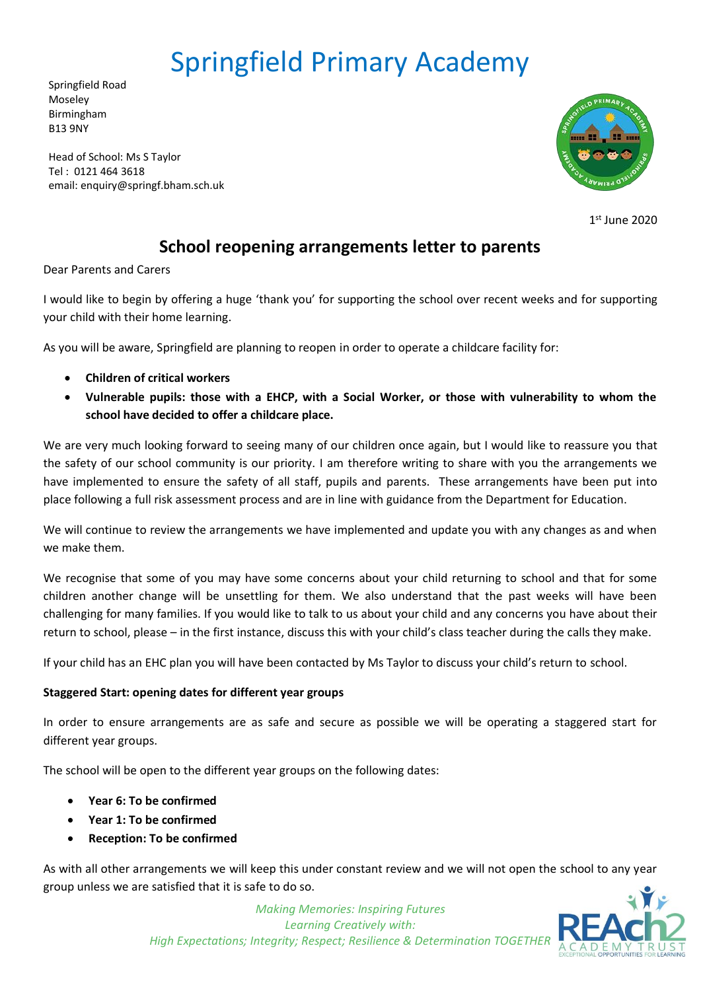# Springfield Primary Academy

Springfield Road Moseley Birmingham B13 9NY

Head of School: Ms S Taylor Tel : 0121 464 3618 email: enquiry@springf.bham.sch.uk



**1**  $1<sup>st</sup>$  June 2020

# **School reopening arrangements letter to parents**

Dear Parents and Carers

I would like to begin by offering a huge 'thank you' for supporting the school over recent weeks and for supporting your child with their home learning.

As you will be aware, Springfield are planning to reopen in order to operate a childcare facility for:

- **Children of critical workers**
- **Vulnerable pupils: those with a EHCP, with a Social Worker, or those with vulnerability to whom the school have decided to offer a childcare place.**

We are very much looking forward to seeing many of our children once again, but I would like to reassure you that the safety of our school community is our priority. I am therefore writing to share with you the arrangements we have implemented to ensure the safety of all staff, pupils and parents. These arrangements have been put into place following a full risk assessment process and are in line with guidance from the Department for Education.

We will continue to review the arrangements we have implemented and update you with any changes as and when we make them.

We recognise that some of you may have some concerns about your child returning to school and that for some children another change will be unsettling for them. We also understand that the past weeks will have been challenging for many families. If you would like to talk to us about your child and any concerns you have about their return to school, please – in the first instance, discuss this with your child's class teacher during the calls they make.

If your child has an EHC plan you will have been contacted by Ms Taylor to discuss your child's return to school.

# **Staggered Start: opening dates for different year groups**

In order to ensure arrangements are as safe and secure as possible we will be operating a staggered start for different year groups.

The school will be open to the different year groups on the following dates:

- **Year 6: To be confirmed**
- **Year 1: To be confirmed**
- **Reception: To be confirmed**

As with all other arrangements we will keep this under constant review and we will not open the school to any year group unless we are satisfied that it is safe to do so.



*Making Memories: Inspiring Futures Learning Creatively with: High Expectations; Integrity; Respect; Resilience & Determination TOGETHER*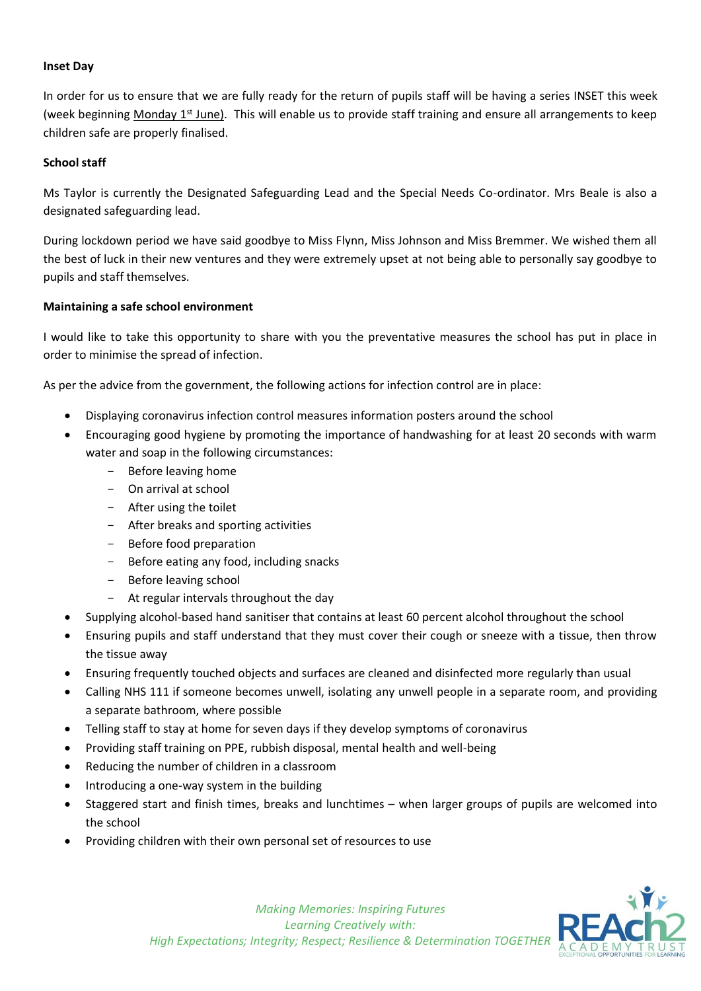#### **Inset Day**

In order for us to ensure that we are fully ready for the return of pupils staff will be having a series INSET this week (week beginning Monday  $1^{st}$  June). This will enable us to provide staff training and ensure all arrangements to keep children safe are properly finalised.

#### **School staff**

Ms Taylor is currently the Designated Safeguarding Lead and the Special Needs Co-ordinator. Mrs Beale is also a designated safeguarding lead.

During lockdown period we have said goodbye to Miss Flynn, Miss Johnson and Miss Bremmer. We wished them all the best of luck in their new ventures and they were extremely upset at not being able to personally say goodbye to pupils and staff themselves.

#### **Maintaining a safe school environment**

I would like to take this opportunity to share with you the preventative measures the school has put in place in order to minimise the spread of infection.

As per the advice from the government, the following actions for infection control are in place:

- Displaying coronavirus infection control measures information posters around the school
- Encouraging good hygiene by promoting the importance of handwashing for at least 20 seconds with warm water and soap in the following circumstances:
	- Before leaving home
	- On arrival at school
	- After using the toilet
	- After breaks and sporting activities
	- Before food preparation
	- Before eating any food, including snacks
	- Before leaving school
	- At regular intervals throughout the day
- Supplying alcohol-based hand sanitiser that contains at least 60 percent alcohol throughout the school
- Ensuring pupils and staff understand that they must cover their cough or sneeze with a tissue, then throw the tissue away
- Ensuring frequently touched objects and surfaces are cleaned and disinfected more regularly than usual
- Calling NHS 111 if someone becomes unwell, isolating any unwell people in a separate room, and providing a separate bathroom, where possible
- Telling staff to stay at home for seven days if they develop symptoms of coronavirus
- Providing staff training on PPE, rubbish disposal, mental health and well-being
- Reducing the number of children in a classroom
- Introducing a one-way system in the building
- Staggered start and finish times, breaks and lunchtimes when larger groups of pupils are welcomed into the school
- Providing children with their own personal set of resources to use

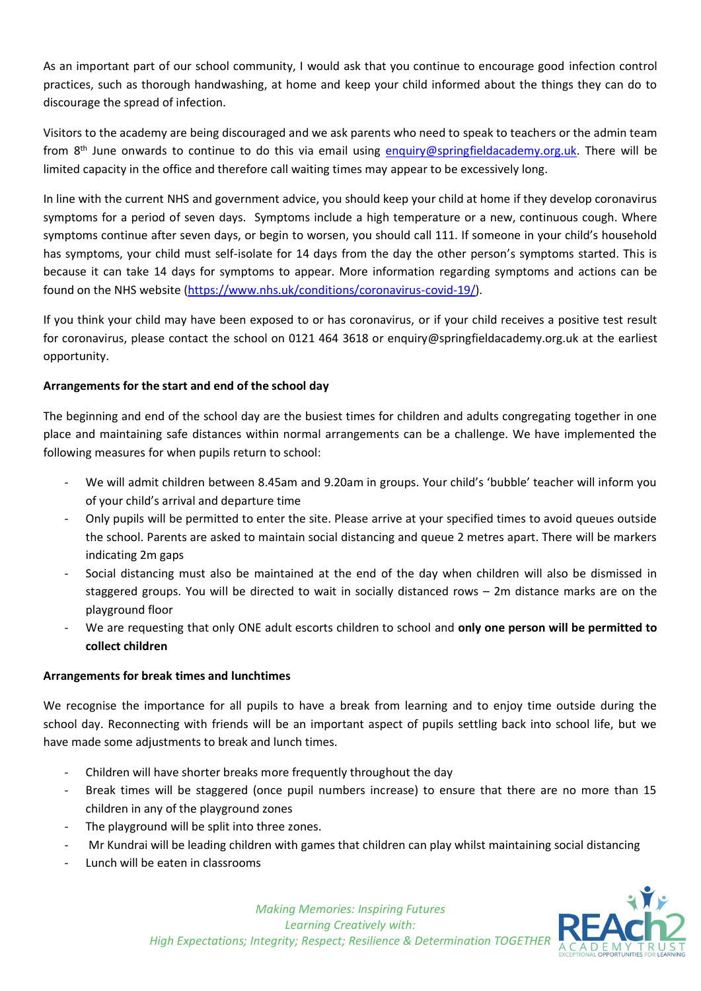As an important part of our school community, I would ask that you continue to encourage good infection control practices, such as thorough handwashing, at home and keep your child informed about the things they can do to discourage the spread of infection.

Visitors to the academy are being discouraged and we ask parents who need to speak to teachers or the admin team from 8th June onwards to continue to do this via email using [enquiry@springfieldacademy.org.uk.](mailto:enquiry@springfieldacademy.org.uk) There will be limited capacity in the office and therefore call waiting times may appear to be excessively long.

In line with the current NHS and government advice, you should keep your child at home if they develop coronavirus symptoms for a period of seven days. Symptoms include a high temperature or a new, continuous cough. Where symptoms continue after seven days, or begin to worsen, you should call 111. If someone in your child's household has symptoms, your child must self-isolate for 14 days from the day the other person's symptoms started. This is because it can take 14 days for symptoms to appear. More information regarding symptoms and actions can be found on the NHS website [\(https://www.nhs.uk/conditions/coronavirus-covid-19/\)](https://www.nhs.uk/conditions/coronavirus-covid-19/).

If you think your child may have been exposed to or has coronavirus, or if your child receives a positive test result for coronavirus, please contact the school on 0121 464 3618 or enquiry@springfieldacademy.org.uk at the earliest opportunity.

# **Arrangements for the start and end of the school day**

The beginning and end of the school day are the busiest times for children and adults congregating together in one place and maintaining safe distances within normal arrangements can be a challenge. We have implemented the following measures for when pupils return to school:

- We will admit children between 8.45am and 9.20am in groups. Your child's 'bubble' teacher will inform you of your child's arrival and departure time
- Only pupils will be permitted to enter the site. Please arrive at your specified times to avoid queues outside the school. Parents are asked to maintain social distancing and queue 2 metres apart. There will be markers indicating 2m gaps
- Social distancing must also be maintained at the end of the day when children will also be dismissed in staggered groups. You will be directed to wait in socially distanced rows – 2m distance marks are on the playground floor
- We are requesting that only ONE adult escorts children to school and **only one person will be permitted to collect children**

#### **Arrangements for break times and lunchtimes**

We recognise the importance for all pupils to have a break from learning and to enjoy time outside during the school day. Reconnecting with friends will be an important aspect of pupils settling back into school life, but we have made some adjustments to break and lunch times.

- Children will have shorter breaks more frequently throughout the day
- Break times will be staggered (once pupil numbers increase) to ensure that there are no more than 15 children in any of the playground zones
- The playground will be split into three zones.
- Mr Kundrai will be leading children with games that children can play whilst maintaining social distancing
- Lunch will be eaten in classrooms



*Making Memories: Inspiring Futures Learning Creatively with: High Expectations; Integrity; Respect; Resilience & Determination TOGETHER*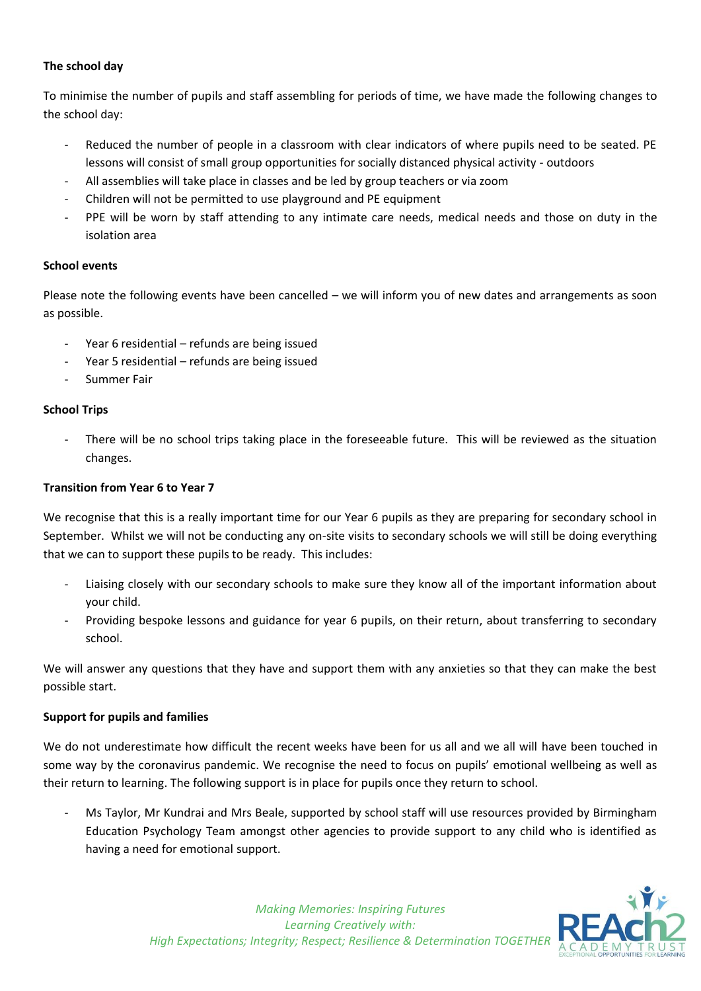#### **The school day**

To minimise the number of pupils and staff assembling for periods of time, we have made the following changes to the school day:

- Reduced the number of people in a classroom with clear indicators of where pupils need to be seated. PE lessons will consist of small group opportunities for socially distanced physical activity - outdoors
- All assemblies will take place in classes and be led by group teachers or via zoom
- Children will not be permitted to use playground and PE equipment
- PPE will be worn by staff attending to any intimate care needs, medical needs and those on duty in the isolation area

# **School events**

Please note the following events have been cancelled – we will inform you of new dates and arrangements as soon as possible.

- Year 6 residential refunds are being issued
- Year 5 residential refunds are being issued
- Summer Fair

# **School Trips**

There will be no school trips taking place in the foreseeable future. This will be reviewed as the situation changes.

# **Transition from Year 6 to Year 7**

We recognise that this is a really important time for our Year 6 pupils as they are preparing for secondary school in September. Whilst we will not be conducting any on-site visits to secondary schools we will still be doing everything that we can to support these pupils to be ready. This includes:

- Liaising closely with our secondary schools to make sure they know all of the important information about your child.
- Providing bespoke lessons and guidance for year 6 pupils, on their return, about transferring to secondary school.

We will answer any questions that they have and support them with any anxieties so that they can make the best possible start.

#### **Support for pupils and families**

We do not underestimate how difficult the recent weeks have been for us all and we all will have been touched in some way by the coronavirus pandemic. We recognise the need to focus on pupils' emotional wellbeing as well as their return to learning. The following support is in place for pupils once they return to school.

Ms Taylor, Mr Kundrai and Mrs Beale, supported by school staff will use resources provided by Birmingham Education Psychology Team amongst other agencies to provide support to any child who is identified as having a need for emotional support.